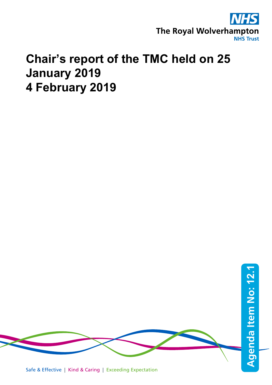

## **Chair's report of the TMC held on 25 January 2019 4 February 2019**

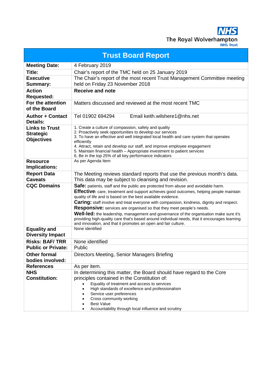The Royal Wolverhampton **NHS Trust** 

**Trust Board Report Meeting Date:** 4 February 2019 **Title:** Chair's report of the TMC held on 25 January 2019 **Executive Summary:** The Chair's report of the most recent Trust Management Committee meeting held on Friday 23 November 2018 **Action Requested: Receive and note For the attention of the Board** Matters discussed and reviewed at the most recent TMC **Author + Contact Details:** Tel 01902 694294 Email keith.wilshere1@nhs.net **Links to Trust Strategic Objectives** 1. Create a culture of compassion, safety and quality 2. Proactively seek opportunities to develop our services 3. To have an effective and well integrated local health and care system that operates efficiently 4. Attract, retain and develop our staff, and improve employee engagement 5. Maintain financial health – Appropriate investment to patient services 6. Be in the top 25% of all key performance indicators **Resource Implications:** As per Agenda Item **Report Data Caveats** The Meeting reviews standard reports that use the previous month's data. This data may be subject to cleansing and revision. **Safe:** patients, staff and the public are protected from abuse and avoidable harm. **Effective:** care, treatment and support achieves good outcomes, helping people maintain quality of life and is based on the best available evidence. **Caring:** staff involve and treat everyone with compassion, kindness, dignity and respect. **Responsive:** services are organised so that they meet people's needs. **Well-led:** the leadership, management and governance of the organisation make sure it's providing high-quality care that's based around individual needs, that it encourages learning and innovation, and that it promotes an open and fair culture. **Equality and Diversity Impact** None identified **Risks: BAF/ TRR** None identified **Public or Private:** Public **Other formal bodies involved:** Directors Meeting, Senior Managers Briefing **References** As per item. **NHS Constitution:**  In determining this matter, the Board should have regard to the Core principles contained in the Constitution of: • Equality of treatment and access to services • High standards of excellence and professionalism Service user preferences Cross community working **Best Value** • Accountability through local influence and scrutiny